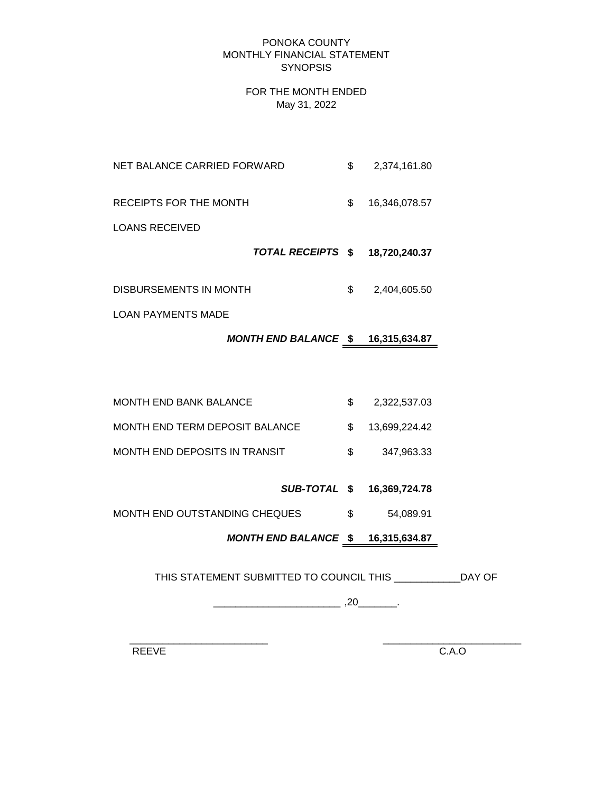### PONOKA COUNTY MONTHLY FINANCIAL STATEMENT **SYNOPSIS**

### FOR THE MONTH ENDED May 31, 2022

- NET BALANCE CARRIED FORWARD  $$ 2,374,161.80$
- RECEIPTS FOR THE MONTH  $$ 16,346,078.57$

LOANS RECEIVED

- *TOTAL RECEIPTS* **\$ 18,720,240.37**
- DISBURSEMENTS IN MONTH  $$ 2,404,605.50$

LOAN PAYMENTS MADE

# *MONTH END BALANCE* **\$ 16,315,634.87**

- MONTH END BANK BALANCE  $$2,322,537.03$ MONTH END TERM DEPOSIT BALANCE  $$ 13,699,224.42$ MONTH END DEPOSITS IN TRANSIT \$ 347,963.33
	- *SUB-TOTAL* **\$ 16,369,724.78**
- MONTH END OUTSTANDING CHEQUES  $$54,089.91$

# *MONTH END BALANCE* **\$ 16,315,634.87**

THIS STATEMENT SUBMITTED TO COUNCIL THIS \_\_\_\_\_\_\_\_\_\_\_\_DAY OF

\_\_\_\_\_\_\_\_\_\_\_\_\_\_\_\_\_\_\_\_\_\_\_ ,20\_\_\_\_\_\_\_.

 $\frac{1}{2}$  ,  $\frac{1}{2}$  ,  $\frac{1}{2}$  ,  $\frac{1}{2}$  ,  $\frac{1}{2}$  ,  $\frac{1}{2}$  ,  $\frac{1}{2}$  ,  $\frac{1}{2}$  ,  $\frac{1}{2}$  ,  $\frac{1}{2}$  ,  $\frac{1}{2}$  ,  $\frac{1}{2}$  ,  $\frac{1}{2}$  ,  $\frac{1}{2}$  ,  $\frac{1}{2}$  ,  $\frac{1}{2}$  ,  $\frac{1}{2}$  ,  $\frac{1}{2}$  ,  $\frac{1$ 

REEVE C.A.O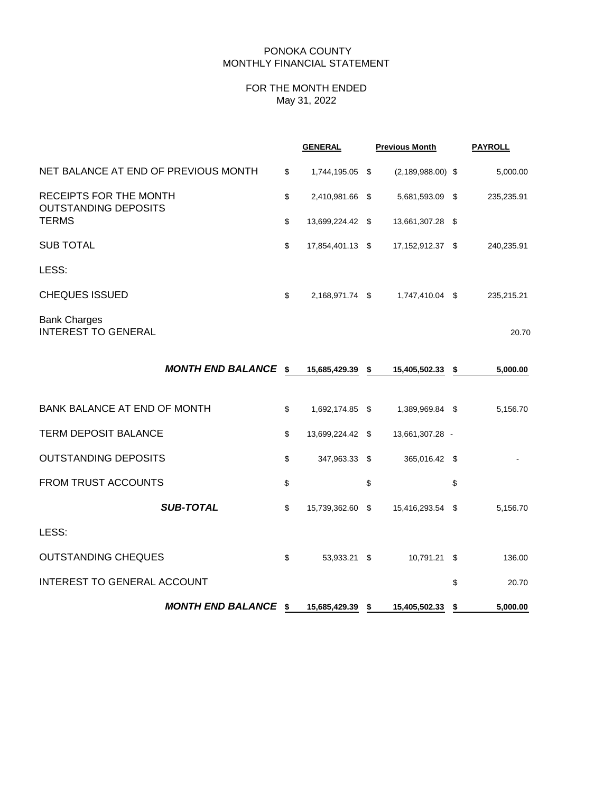#### PONOKA COUNTY MONTHLY FINANCIAL STATEMENT

#### FOR THE MONTH ENDED May 31, 2022

|                                                       | <b>GENERAL</b>         | <b>Previous Month</b> | <b>PAYROLL</b> |
|-------------------------------------------------------|------------------------|-----------------------|----------------|
| NET BALANCE AT END OF PREVIOUS MONTH                  | \$<br>1,744,195.05 \$  | $(2, 189, 988.00)$ \$ | 5,000.00       |
| RECEIPTS FOR THE MONTH<br><b>OUTSTANDING DEPOSITS</b> | \$<br>2,410,981.66 \$  | 5,681,593.09 \$       | 235,235.91     |
| <b>TERMS</b>                                          | \$<br>13,699,224.42 \$ | 13,661,307.28 \$      |                |
| <b>SUB TOTAL</b>                                      | \$<br>17,854,401.13 \$ | 17,152,912.37 \$      | 240,235.91     |
| LESS:                                                 |                        |                       |                |
| <b>CHEQUES ISSUED</b>                                 | \$<br>2,168,971.74 \$  | 1,747,410.04 \$       | 235,215.21     |
| <b>Bank Charges</b><br><b>INTEREST TO GENERAL</b>     |                        |                       | 20.70          |
| <b>MONTH END BALANCE \$</b>                           | 15,685,429.39 \$       | 15,405,502.33 \$      | 5,000.00       |
| <b>BANK BALANCE AT END OF MONTH</b>                   | \$<br>1,692,174.85 \$  | 1,389,969.84 \$       | 5,156.70       |
| <b>TERM DEPOSIT BALANCE</b>                           | \$<br>13,699,224.42 \$ | 13,661,307.28 -       |                |
| <b>OUTSTANDING DEPOSITS</b>                           | \$<br>347,963.33 \$    | 365,016.42 \$         |                |
| <b>FROM TRUST ACCOUNTS</b>                            | \$                     | \$                    | \$             |
| <b>SUB-TOTAL</b>                                      | \$<br>15,739,362.60 \$ | 15,416,293.54 \$      | 5,156.70       |
| LESS:                                                 |                        |                       |                |

OUTSTANDING CHEQUES \$ 53,933.21 \$ 10,791.21 \$ 136.00

INTEREST TO GENERAL ACCOUNT \$ 20.70

*MONTH END BALANCE* **\$ 15,685,429.39 \$ 15,405,502.33 \$ 5,000.00**